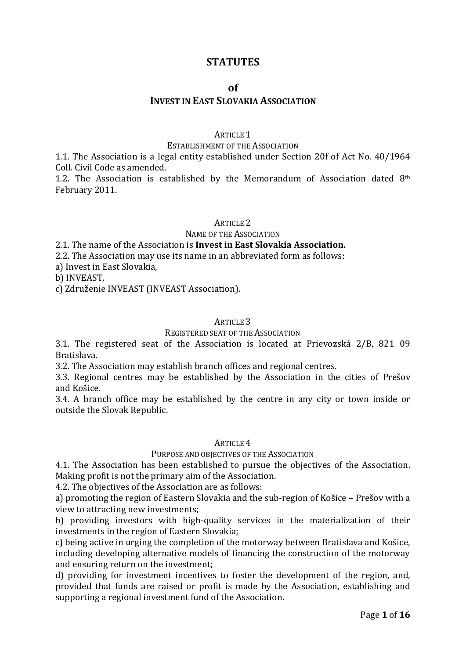# **STATUTES**

### **of**

# **INVEST IN EAST SLOVAKIA ASSOCIATION**

### ARTICLE 1

#### ESTABLISHMENT OF THE ASSOCIATION

1.1. The Association is a legal entity established under Section 20f of Act No. 40/1964 Coll. Civil Code as amended.

1.2. The Association is established by the Memorandum of Association dated  $8<sup>th</sup>$ February 2011.

#### ARTICLE 2

#### NAME OF THE ASSOCIATION

### 2.1. The name of the Association is **Invest in East Slovakia Association.**

2.2. The Association may use its name in an abbreviated form as follows:

a) Invest in East Slovakia,

b) INVEAST,

c) Združenie INVEAST (INVEAST Association).

### ARTICLE 3

### REGISTERED SEAT OF THE ASSOCIATION

3.1. The registered seat of the Association is located at Prievozská 2/B, 821 09 Bratislava.

3.2. The Association may establish branch offices and regional centres.

3.3. Regional centres may be established by the Association in the cities of Prešov and Košice.

3.4. A branch office may be established by the centre in any city or town inside or outside the Slovak Republic.

#### ARTICLE 4

### PURPOSE AND OBJECTIVES OF THE ASSOCIATION

4.1. The Association has been established to pursue the objectives of the Association. Making profit is not the primary aim of the Association.

4.2. The objectives of the Association are as follows:

a) promoting the region of Eastern Slovakia and the sub-region of Košice – Prešov with a view to attracting new investments;

b) providing investors with high-quality services in the materialization of their investments in the region of Eastern Slovakia;

c) being active in urging the completion of the motorway between Bratislava and Košice, including developing alternative models of financing the construction of the motorway and ensuring return on the investment;

d) providing for investment incentives to foster the development of the region, and, provided that funds are raised or profit is made by the Association, establishing and supporting a regional investment fund of the Association.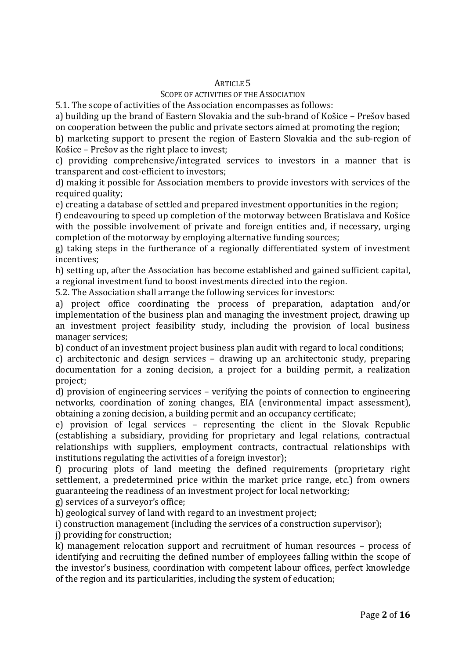### SCOPE OF ACTIVITIES OF THE ASSOCIATION

5.1. The scope of activities of the Association encompasses as follows:

a) building up the brand of Eastern Slovakia and the sub-brand of Košice – Prešov based on cooperation between the public and private sectors aimed at promoting the region;

b) marketing support to present the region of Eastern Slovakia and the sub-region of Košice – Prešov as the right place to invest;

c) providing comprehensive/integrated services to investors in a manner that is transparent and cost-efficient to investors;

d) making it possible for Association members to provide investors with services of the required quality:

e) creating a database of settled and prepared investment opportunities in the region;

f) endeavouring to speed up completion of the motorway between Bratislava and Košice with the possible involvement of private and foreign entities and, if necessary, urging completion of the motorway by employing alternative funding sources;

g) taking steps in the furtherance of a regionally differentiated system of investment incentives;

h) setting up, after the Association has become established and gained sufficient capital, a regional investment fund to boost investments directed into the region.

5.2. The Association shall arrange the following services for investors:

a) project office coordinating the process of preparation, adaptation and/or implementation of the business plan and managing the investment project, drawing up an investment project feasibility study, including the provision of local business manager services;

b) conduct of an investment project business plan audit with regard to local conditions;

c) architectonic and design services – drawing up an architectonic study, preparing documentation for a zoning decision, a project for a building permit, a realization project;

d) provision of engineering services – verifying the points of connection to engineering networks, coordination of zoning changes, EIA (environmental impact assessment), obtaining a zoning decision, a building permit and an occupancy certificate;

e) provision of legal services – representing the client in the Slovak Republic (establishing a subsidiary, providing for proprietary and legal relations, contractual relationships with suppliers, employment contracts, contractual relationships with institutions regulating the activities of a foreign investor);

f) procuring plots of land meeting the defined requirements (proprietary right settlement, a predetermined price within the market price range, etc.) from owners guaranteeing the readiness of an investment project for local networking;

g) services of a surveyor's office;

h) geological survey of land with regard to an investment project;

i) construction management (including the services of a construction supervisor);

j) providing for construction;

k) management relocation support and recruitment of human resources – process of identifying and recruiting the defined number of employees falling within the scope of the investor's business, coordination with competent labour offices, perfect knowledge of the region and its particularities, including the system of education;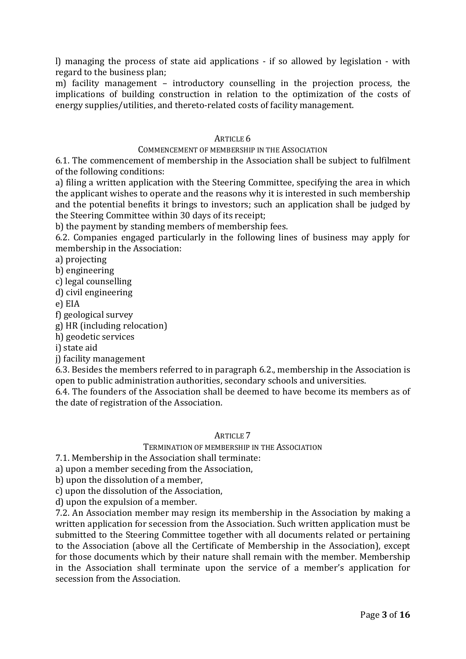l) managing the process of state aid applications - if so allowed by legislation - with regard to the business plan;

m) facility management – introductory counselling in the projection process, the implications of building construction in relation to the optimization of the costs of energy supplies/utilities, and thereto-related costs of facility management.

### ARTICLE 6

### COMMENCEMENT OF MEMBERSHIP IN THE ASSOCIATION

6.1. The commencement of membership in the Association shall be subject to fulfilment of the following conditions:

a) filing a written application with the Steering Committee, specifying the area in which the applicant wishes to operate and the reasons why it is interested in such membership and the potential benefits it brings to investors; such an application shall be judged by the Steering Committee within 30 days of its receipt;

b) the payment by standing members of membership fees.

6.2. Companies engaged particularly in the following lines of business may apply for membership in the Association:

a) projecting

b) engineering

c) legal counselling

d) civil engineering

e) EIA

f) geological survey

g) HR (including relocation)

h) geodetic services

i) state aid

j) facility management

6.3. Besides the members referred to in paragraph 6.2., membership in the Association is open to public administration authorities, secondary schools and universities.

6.4. The founders of the Association shall be deemed to have become its members as of the date of registration of the Association.

### ARTICLE 7

## TERMINATION OF MEMBERSHIP IN THE ASSOCIATION

7.1. Membership in the Association shall terminate:

a) upon a member seceding from the Association,

b) upon the dissolution of a member,

c) upon the dissolution of the Association,

d) upon the expulsion of a member.

7.2. An Association member may resign its membership in the Association by making a written application for secession from the Association. Such written application must be submitted to the Steering Committee together with all documents related or pertaining to the Association (above all the Certificate of Membership in the Association), except for those documents which by their nature shall remain with the member. Membership in the Association shall terminate upon the service of a member's application for secession from the Association.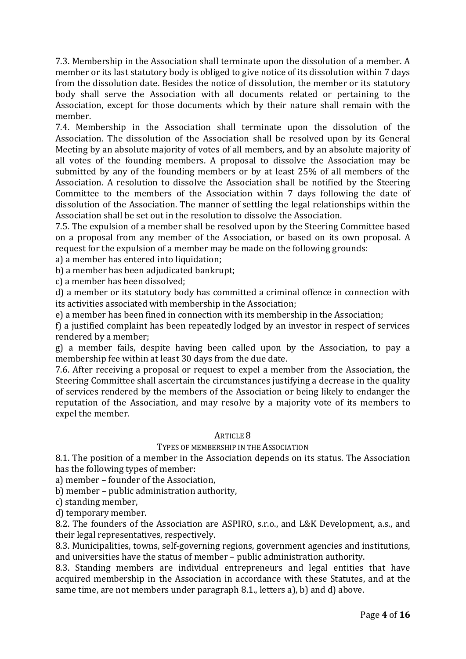7.3. Membership in the Association shall terminate upon the dissolution of a member. A member or its last statutory body is obliged to give notice of its dissolution within 7 days from the dissolution date. Besides the notice of dissolution, the member or its statutory body shall serve the Association with all documents related or pertaining to the Association, except for those documents which by their nature shall remain with the member.

7.4. Membership in the Association shall terminate upon the dissolution of the Association. The dissolution of the Association shall be resolved upon by its General Meeting by an absolute majority of votes of all members, and by an absolute majority of all votes of the founding members. A proposal to dissolve the Association may be submitted by any of the founding members or by at least 25% of all members of the Association. A resolution to dissolve the Association shall be notified by the Steering Committee to the members of the Association within 7 days following the date of dissolution of the Association. The manner of settling the legal relationships within the Association shall be set out in the resolution to dissolve the Association.

7.5. The expulsion of a member shall be resolved upon by the Steering Committee based on a proposal from any member of the Association, or based on its own proposal. A request for the expulsion of a member may be made on the following grounds:

a) a member has entered into liquidation;

b) a member has been adjudicated bankrupt;

c) a member has been dissolved;

d) a member or its statutory body has committed a criminal offence in connection with its activities associated with membership in the Association;

e) a member has been fined in connection with its membership in the Association;

f) a justified complaint has been repeatedly lodged by an investor in respect of services rendered by a member;

g) a member fails, despite having been called upon by the Association, to pay a membership fee within at least 30 days from the due date.

7.6. After receiving a proposal or request to expel a member from the Association, the Steering Committee shall ascertain the circumstances justifying a decrease in the quality of services rendered by the members of the Association or being likely to endanger the reputation of the Association, and may resolve by a majority vote of its members to expel the member.

### ARTICLE 8

### TYPES OF MEMBERSHIP IN THE ASSOCIATION

8.1. The position of a member in the Association depends on its status. The Association has the following types of member:

a) member – founder of the Association,

b) member – public administration authority,

c) standing member,

d) temporary member.

8.2. The founders of the Association are ASPIRO, s.r.o., and L&K Development, a.s., and their legal representatives, respectively.

8.3. Municipalities, towns, self-governing regions, government agencies and institutions, and universities have the status of member – public administration authority.

8.3. Standing members are individual entrepreneurs and legal entities that have acquired membership in the Association in accordance with these Statutes, and at the same time, are not members under paragraph 8.1., letters a), b) and d) above.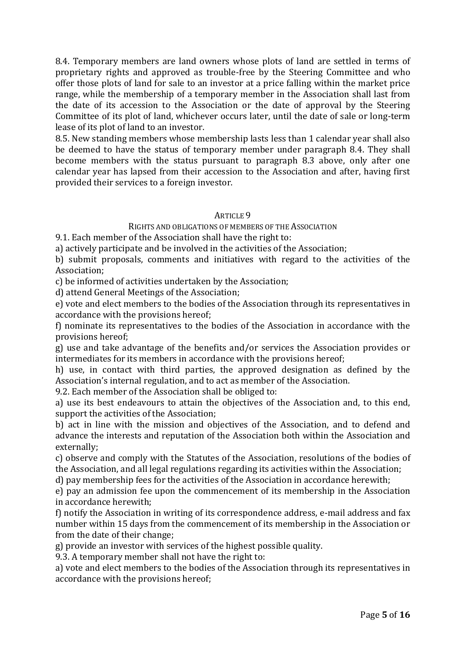8.4. Temporary members are land owners whose plots of land are settled in terms of proprietary rights and approved as trouble-free by the Steering Committee and who offer those plots of land for sale to an investor at a price falling within the market price range, while the membership of a temporary member in the Association shall last from the date of its accession to the Association or the date of approval by the Steering Committee of its plot of land, whichever occurs later, until the date of sale or long-term lease of its plot of land to an investor.

8.5. New standing members whose membership lasts less than 1 calendar year shall also be deemed to have the status of temporary member under paragraph 8.4. They shall become members with the status pursuant to paragraph 8.3 above, only after one calendar year has lapsed from their accession to the Association and after, having first provided their services to a foreign investor.

### ARTICLE 9

## RIGHTS AND OBLIGATIONS OF MEMBERS OF THE ASSOCIATION

9.1. Each member of the Association shall have the right to:

a) actively participate and be involved in the activities of the Association;

b) submit proposals, comments and initiatives with regard to the activities of the Association;

c) be informed of activities undertaken by the Association;

d) attend General Meetings of the Association;

e) vote and elect members to the bodies of the Association through its representatives in accordance with the provisions hereof;

f) nominate its representatives to the bodies of the Association in accordance with the provisions hereof;

g) use and take advantage of the benefits and/or services the Association provides or intermediates for its members in accordance with the provisions hereof;

h) use, in contact with third parties, the approved designation as defined by the Association's internal regulation, and to act as member of the Association.

9.2. Each member of the Association shall be obliged to:

a) use its best endeavours to attain the objectives of the Association and, to this end, support the activities of the Association;

b) act in line with the mission and objectives of the Association, and to defend and advance the interests and reputation of the Association both within the Association and externally;

c) observe and comply with the Statutes of the Association, resolutions of the bodies of the Association, and all legal regulations regarding its activities within the Association;

d) pay membership fees for the activities of the Association in accordance herewith;

e) pay an admission fee upon the commencement of its membership in the Association in accordance herewith;

f) notify the Association in writing of its correspondence address, e-mail address and fax number within 15 days from the commencement of its membership in the Association or from the date of their change;

g) provide an investor with services of the highest possible quality.

9.3. A temporary member shall not have the right to:

a) vote and elect members to the bodies of the Association through its representatives in accordance with the provisions hereof;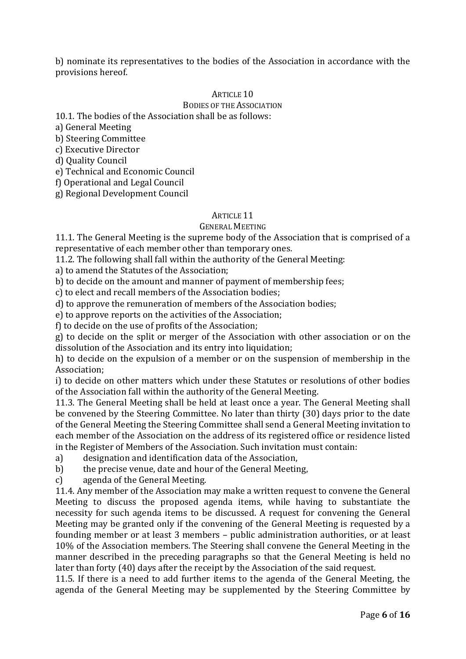b) nominate its representatives to the bodies of the Association in accordance with the provisions hereof.

### ARTICLE 10

### BODIES OF THE ASSOCIATION

10.1. The bodies of the Association shall be as follows:

a) General Meeting

b) Steering Committee

c) Executive Director

d) Quality Council

e) Technical and Economic Council

f) Operational and Legal Council

g) Regional Development Council

### ARTICLE 11

#### GENERAL MEETING

11.1. The General Meeting is the supreme body of the Association that is comprised of a representative of each member other than temporary ones.

11.2. The following shall fall within the authority of the General Meeting:

a) to amend the Statutes of the Association;

b) to decide on the amount and manner of payment of membership fees;

c) to elect and recall members of the Association bodies;

d) to approve the remuneration of members of the Association bodies;

e) to approve reports on the activities of the Association;

f) to decide on the use of profits of the Association;

g) to decide on the split or merger of the Association with other association or on the dissolution of the Association and its entry into liquidation;

h) to decide on the expulsion of a member or on the suspension of membership in the Association;

i) to decide on other matters which under these Statutes or resolutions of other bodies of the Association fall within the authority of the General Meeting.

11.3. The General Meeting shall be held at least once a year. The General Meeting shall be convened by the Steering Committee. No later than thirty (30) days prior to the date of the General Meeting the Steering Committee shall send a General Meeting invitation to each member of the Association on the address of its registered office or residence listed in the Register of Members of the Association. Such invitation must contain:

a) designation and identification data of the Association,

b) the precise venue, date and hour of the General Meeting,

c) agenda of the General Meeting.

11.4. Any member of the Association may make a written request to convene the General Meeting to discuss the proposed agenda items, while having to substantiate the necessity for such agenda items to be discussed. A request for convening the General Meeting may be granted only if the convening of the General Meeting is requested by a founding member or at least 3 members – public administration authorities, or at least 10% of the Association members. The Steering shall convene the General Meeting in the manner described in the preceding paragraphs so that the General Meeting is held no later than forty (40) days after the receipt by the Association of the said request.

11.5. If there is a need to add further items to the agenda of the General Meeting, the agenda of the General Meeting may be supplemented by the Steering Committee by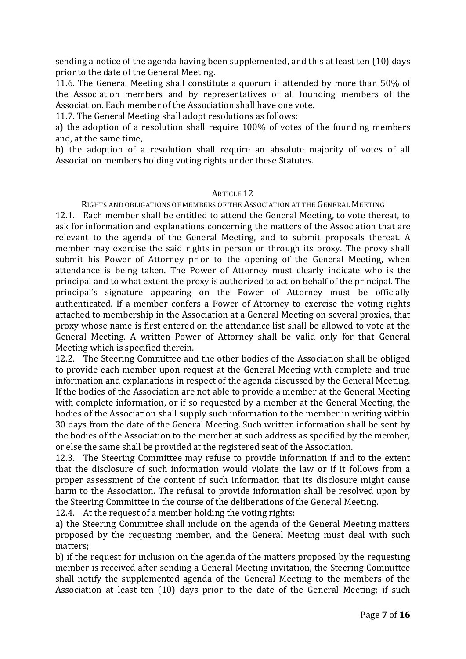sending a notice of the agenda having been supplemented, and this at least ten (10) days prior to the date of the General Meeting.

11.6. The General Meeting shall constitute a quorum if attended by more than 50% of the Association members and by representatives of all founding members of the Association. Each member of the Association shall have one vote.

11.7. The General Meeting shall adopt resolutions as follows:

a) the adoption of a resolution shall require 100% of votes of the founding members and, at the same time,

b) the adoption of a resolution shall require an absolute majority of votes of all Association members holding voting rights under these Statutes.

### ARTICLE 12

RIGHTS AND OBLIGATIONS OF MEMBERS OF THE ASSOCIATION AT THE GENERAL MEETING

12.1. Each member shall be entitled to attend the General Meeting, to vote thereat, to ask for information and explanations concerning the matters of the Association that are relevant to the agenda of the General Meeting, and to submit proposals thereat. A member may exercise the said rights in person or through its proxy. The proxy shall submit his Power of Attorney prior to the opening of the General Meeting, when attendance is being taken. The Power of Attorney must clearly indicate who is the principal and to what extent the proxy is authorized to act on behalf of the principal. The principal's signature appearing on the Power of Attorney must be officially authenticated. If a member confers a Power of Attorney to exercise the voting rights attached to membership in the Association at a General Meeting on several proxies, that proxy whose name is first entered on the attendance list shall be allowed to vote at the General Meeting. A written Power of Attorney shall be valid only for that General Meeting which is specified therein.

12.2. The Steering Committee and the other bodies of the Association shall be obliged to provide each member upon request at the General Meeting with complete and true information and explanations in respect of the agenda discussed by the General Meeting. If the bodies of the Association are not able to provide a member at the General Meeting with complete information, or if so requested by a member at the General Meeting, the bodies of the Association shall supply such information to the member in writing within 30 days from the date of the General Meeting. Such written information shall be sent by the bodies of the Association to the member at such address as specified by the member, or else the same shall be provided at the registered seat of the Association.

12.3. The Steering Committee may refuse to provide information if and to the extent that the disclosure of such information would violate the law or if it follows from a proper assessment of the content of such information that its disclosure might cause harm to the Association. The refusal to provide information shall be resolved upon by the Steering Committee in the course of the deliberations of the General Meeting.

12.4. At the request of a member holding the voting rights:

a) the Steering Committee shall include on the agenda of the General Meeting matters proposed by the requesting member, and the General Meeting must deal with such matters;

b) if the request for inclusion on the agenda of the matters proposed by the requesting member is received after sending a General Meeting invitation, the Steering Committee shall notify the supplemented agenda of the General Meeting to the members of the Association at least ten (10) days prior to the date of the General Meeting; if such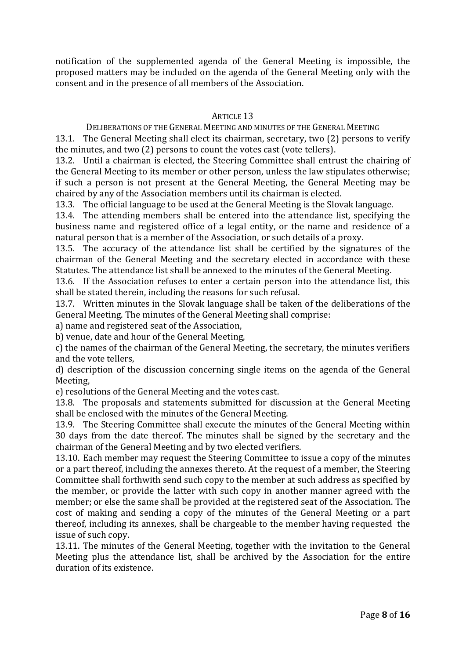notification of the supplemented agenda of the General Meeting is impossible, the proposed matters may be included on the agenda of the General Meeting only with the consent and in the presence of all members of the Association.

## ARTICLE 13

### DELIBERATIONS OF THE GENERAL MEETING AND MINUTES OF THE GENERAL MEETING

13.1. The General Meeting shall elect its chairman, secretary, two (2) persons to verify the minutes, and two (2) persons to count the votes cast (vote tellers).

13.2. Until a chairman is elected, the Steering Committee shall entrust the chairing of the General Meeting to its member or other person, unless the law stipulates otherwise; if such a person is not present at the General Meeting, the General Meeting may be chaired by any of the Association members until its chairman is elected.

13.3. The official language to be used at the General Meeting is the Slovak language.

13.4. The attending members shall be entered into the attendance list, specifying the business name and registered office of a legal entity, or the name and residence of a natural person that is a member of the Association, or such details of a proxy.

13.5. The accuracy of the attendance list shall be certified by the signatures of the chairman of the General Meeting and the secretary elected in accordance with these Statutes. The attendance list shall be annexed to the minutes of the General Meeting.

13.6. If the Association refuses to enter a certain person into the attendance list, this shall be stated therein, including the reasons for such refusal.

13.7. Written minutes in the Slovak language shall be taken of the deliberations of the General Meeting. The minutes of the General Meeting shall comprise:

a) name and registered seat of the Association,

b) venue, date and hour of the General Meeting,

c) the names of the chairman of the General Meeting, the secretary, the minutes verifiers and the vote tellers,

d) description of the discussion concerning single items on the agenda of the General Meeting,

e) resolutions of the General Meeting and the votes cast.

13.8. The proposals and statements submitted for discussion at the General Meeting shall be enclosed with the minutes of the General Meeting.

13.9. The Steering Committee shall execute the minutes of the General Meeting within 30 days from the date thereof. The minutes shall be signed by the secretary and the chairman of the General Meeting and by two elected verifiers.

13.10. Each member may request the Steering Committee to issue a copy of the minutes or a part thereof, including the annexes thereto. At the request of a member, the Steering Committee shall forthwith send such copy to the member at such address as specified by the member, or provide the latter with such copy in another manner agreed with the member; or else the same shall be provided at the registered seat of the Association. The cost of making and sending a copy of the minutes of the General Meeting or a part thereof, including its annexes, shall be chargeable to the member having requested the issue of such copy.

13.11. The minutes of the General Meeting, together with the invitation to the General Meeting plus the attendance list, shall be archived by the Association for the entire duration of its existence.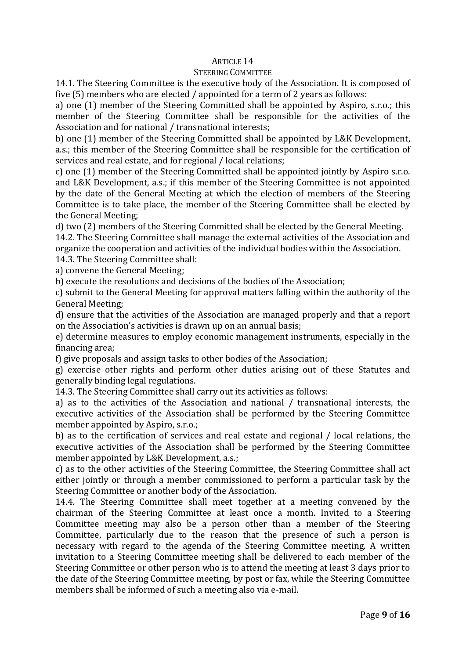### STEERING COMMITTEE

14.1. The Steering Committee is the executive body of the Association. It is composed of five (5) members who are elected / appointed for a term of 2 years as follows:

a) one (1) member of the Steering Committed shall be appointed by Aspiro, s.r.o.; this member of the Steering Committee shall be responsible for the activities of the Association and for national / transnational interests;

b) one (1) member of the Steering Committed shall be appointed by L&K Development, a.s.; this member of the Steering Committee shall be responsible for the certification of services and real estate, and for regional / local relations;

c) one (1) member of the Steering Committed shall be appointed jointly by Aspiro s.r.o. and L&K Development, a.s.; if this member of the Steering Committee is not appointed by the date of the General Meeting at which the election of members of the Steering Committee is to take place, the member of the Steering Committee shall be elected by the General Meeting;

d) two (2) members of the Steering Committed shall be elected by the General Meeting.

14.2. The Steering Committee shall manage the external activities of the Association and organize the cooperation and activities of the individual bodies within the Association.

14.3. The Steering Committee shall:

a) convene the General Meeting;

b) execute the resolutions and decisions of the bodies of the Association;

c) submit to the General Meeting for approval matters falling within the authority of the General Meeting;

d) ensure that the activities of the Association are managed properly and that a report on the Association's activities is drawn up on an annual basis;

e) determine measures to employ economic management instruments, especially in the financing area;

f) give proposals and assign tasks to other bodies of the Association;

g) exercise other rights and perform other duties arising out of these Statutes and generally binding legal regulations.

14.3. The Steering Committee shall carry out its activities as follows:

a) as to the activities of the Association and national / transnational interests, the executive activities of the Association shall be performed by the Steering Committee member appointed by Aspiro, s.r.o.;

b) as to the certification of services and real estate and regional / local relations, the executive activities of the Association shall be performed by the Steering Committee member appointed by L&K Development, a.s.;

c) as to the other activities of the Steering Committee, the Steering Committee shall act either jointly or through a member commissioned to perform a particular task by the Steering Committee or another body of the Association.

14.4. The Steering Committee shall meet together at a meeting convened by the chairman of the Steering Committee at least once a month. Invited to a Steering Committee meeting may also be a person other than a member of the Steering Committee, particularly due to the reason that the presence of such a person is necessary with regard to the agenda of the Steering Committee meeting. A written invitation to a Steering Committee meeting shall be delivered to each member of the Steering Committee or other person who is to attend the meeting at least 3 days prior to the date of the Steering Committee meeting, by post or fax, while the Steering Committee members shall be informed of such a meeting also via e-mail.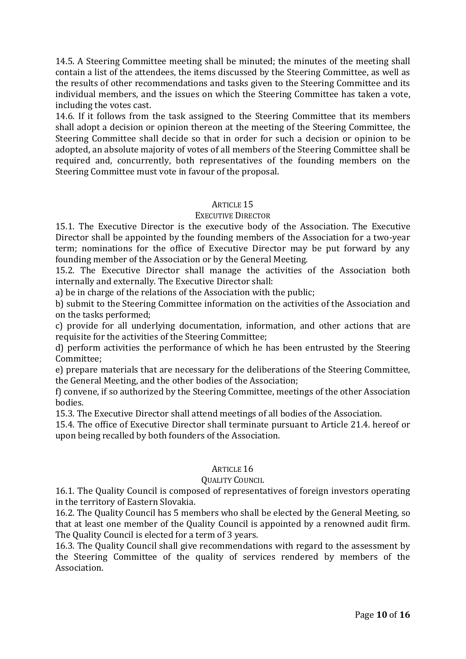14.5. A Steering Committee meeting shall be minuted; the minutes of the meeting shall contain a list of the attendees, the items discussed by the Steering Committee, as well as the results of other recommendations and tasks given to the Steering Committee and its individual members, and the issues on which the Steering Committee has taken a vote, including the votes cast.

14.6. If it follows from the task assigned to the Steering Committee that its members shall adopt a decision or opinion thereon at the meeting of the Steering Committee, the Steering Committee shall decide so that in order for such a decision or opinion to be adopted, an absolute majority of votes of all members of the Steering Committee shall be required and, concurrently, both representatives of the founding members on the Steering Committee must vote in favour of the proposal.

## ARTICLE 15

### EXECUTIVE DIRECTOR

15.1. The Executive Director is the executive body of the Association. The Executive Director shall be appointed by the founding members of the Association for a two-year term; nominations for the office of Executive Director may be put forward by any founding member of the Association or by the General Meeting.

15.2. The Executive Director shall manage the activities of the Association both internally and externally. The Executive Director shall:

a) be in charge of the relations of the Association with the public;

b) submit to the Steering Committee information on the activities of the Association and on the tasks performed;

c) provide for all underlying documentation, information, and other actions that are requisite for the activities of the Steering Committee;

d) perform activities the performance of which he has been entrusted by the Steering Committee;

e) prepare materials that are necessary for the deliberations of the Steering Committee, the General Meeting, and the other bodies of the Association;

f) convene, if so authorized by the Steering Committee, meetings of the other Association bodies.

15.3. The Executive Director shall attend meetings of all bodies of the Association.

15.4. The office of Executive Director shall terminate pursuant to Article 21.4. hereof or upon being recalled by both founders of the Association.

# ARTICLE 16

### QUALITY COUNCIL

16.1. The Quality Council is composed of representatives of foreign investors operating in the territory of Eastern Slovakia.

16.2. The Quality Council has 5 members who shall be elected by the General Meeting, so that at least one member of the Quality Council is appointed by a renowned audit firm. The Quality Council is elected for a term of 3 years.

16.3. The Quality Council shall give recommendations with regard to the assessment by the Steering Committee of the quality of services rendered by members of the Association.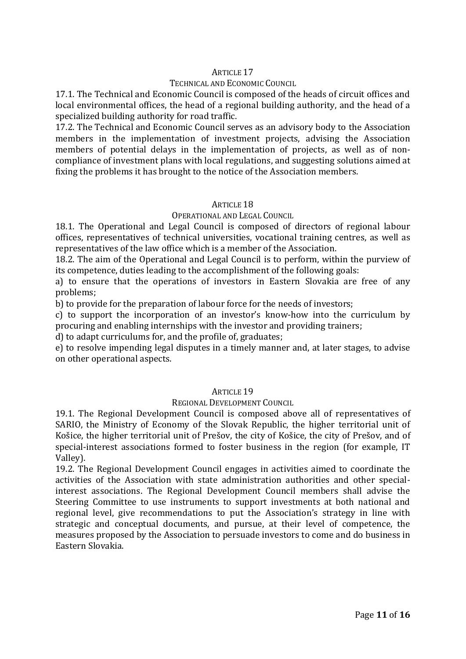### TECHNICAL AND ECONOMIC COUNCIL

17.1. The Technical and Economic Council is composed of the heads of circuit offices and local environmental offices, the head of a regional building authority, and the head of a specialized building authority for road traffic.

17.2. The Technical and Economic Council serves as an advisory body to the Association members in the implementation of investment projects, advising the Association members of potential delays in the implementation of projects, as well as of noncompliance of investment plans with local regulations, and suggesting solutions aimed at fixing the problems it has brought to the notice of the Association members.

### ARTICLE 18

### OPERATIONAL AND LEGAL COUNCIL

18.1. The Operational and Legal Council is composed of directors of regional labour offices, representatives of technical universities, vocational training centres, as well as representatives of the law office which is a member of the Association.

18.2. The aim of the Operational and Legal Council is to perform, within the purview of its competence, duties leading to the accomplishment of the following goals:

a) to ensure that the operations of investors in Eastern Slovakia are free of any problems;

b) to provide for the preparation of labour force for the needs of investors;

c) to support the incorporation of an investor's know-how into the curriculum by procuring and enabling internships with the investor and providing trainers;

d) to adapt curriculums for, and the profile of, graduates;

e) to resolve impending legal disputes in a timely manner and, at later stages, to advise on other operational aspects.

## ARTICLE 19

### REGIONAL DEVELOPMENT COUNCIL

19.1. The Regional Development Council is composed above all of representatives of SARIO, the Ministry of Economy of the Slovak Republic, the higher territorial unit of Košice, the higher territorial unit of Prešov, the city of Košice, the city of Prešov, and of special-interest associations formed to foster business in the region (for example, IT Valley).

19.2. The Regional Development Council engages in activities aimed to coordinate the activities of the Association with state administration authorities and other specialinterest associations. The Regional Development Council members shall advise the Steering Committee to use instruments to support investments at both national and regional level, give recommendations to put the Association's strategy in line with strategic and conceptual documents, and pursue, at their level of competence, the measures proposed by the Association to persuade investors to come and do business in Eastern Slovakia.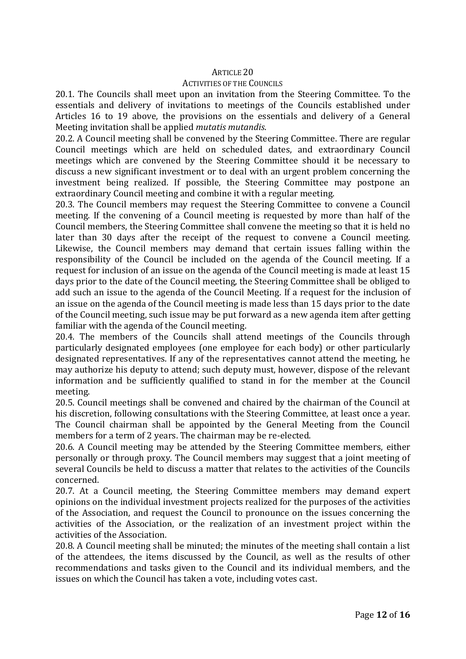#### ACTIVITIES OF THE COUNCILS

20.1. The Councils shall meet upon an invitation from the Steering Committee. To the essentials and delivery of invitations to meetings of the Councils established under Articles 16 to 19 above, the provisions on the essentials and delivery of a General Meeting invitation shall be applied *mutatis mutandis*.

20.2. A Council meeting shall be convened by the Steering Committee. There are regular Council meetings which are held on scheduled dates, and extraordinary Council meetings which are convened by the Steering Committee should it be necessary to discuss a new significant investment or to deal with an urgent problem concerning the investment being realized. If possible, the Steering Committee may postpone an extraordinary Council meeting and combine it with a regular meeting.

20.3. The Council members may request the Steering Committee to convene a Council meeting. If the convening of a Council meeting is requested by more than half of the Council members, the Steering Committee shall convene the meeting so that it is held no later than 30 days after the receipt of the request to convene a Council meeting. Likewise, the Council members may demand that certain issues falling within the responsibility of the Council be included on the agenda of the Council meeting. If a request for inclusion of an issue on the agenda of the Council meeting is made at least 15 days prior to the date of the Council meeting, the Steering Committee shall be obliged to add such an issue to the agenda of the Council Meeting. If a request for the inclusion of an issue on the agenda of the Council meeting is made less than 15 days prior to the date of the Council meeting, such issue may be put forward as a new agenda item after getting familiar with the agenda of the Council meeting.

20.4. The members of the Councils shall attend meetings of the Councils through particularly designated employees (one employee for each body) or other particularly designated representatives. If any of the representatives cannot attend the meeting, he may authorize his deputy to attend; such deputy must, however, dispose of the relevant information and be sufficiently qualified to stand in for the member at the Council meeting.

20.5. Council meetings shall be convened and chaired by the chairman of the Council at his discretion, following consultations with the Steering Committee, at least once a year. The Council chairman shall be appointed by the General Meeting from the Council members for a term of 2 years. The chairman may be re-elected.

20.6. A Council meeting may be attended by the Steering Committee members, either personally or through proxy. The Council members may suggest that a joint meeting of several Councils be held to discuss a matter that relates to the activities of the Councils concerned.

20.7. At a Council meeting, the Steering Committee members may demand expert opinions on the individual investment projects realized for the purposes of the activities of the Association, and request the Council to pronounce on the issues concerning the activities of the Association, or the realization of an investment project within the activities of the Association.

20.8. A Council meeting shall be minuted; the minutes of the meeting shall contain a list of the attendees, the items discussed by the Council, as well as the results of other recommendations and tasks given to the Council and its individual members, and the issues on which the Council has taken a vote, including votes cast.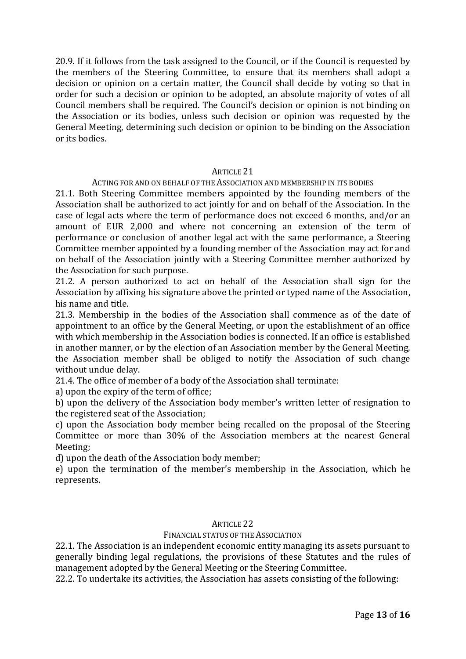20.9. If it follows from the task assigned to the Council, or if the Council is requested by the members of the Steering Committee, to ensure that its members shall adopt a decision or opinion on a certain matter, the Council shall decide by voting so that in order for such a decision or opinion to be adopted, an absolute majority of votes of all Council members shall be required. The Council's decision or opinion is not binding on the Association or its bodies, unless such decision or opinion was requested by the General Meeting, determining such decision or opinion to be binding on the Association or its bodies.

### ARTICLE 21

### ACTING FOR AND ON BEHALF OF THE ASSOCIATION AND MEMBERSHIP IN ITS BODIES

21.1. Both Steering Committee members appointed by the founding members of the Association shall be authorized to act jointly for and on behalf of the Association. In the case of legal acts where the term of performance does not exceed 6 months, and/or an amount of EUR 2,000 and where not concerning an extension of the term of performance or conclusion of another legal act with the same performance, a Steering Committee member appointed by a founding member of the Association may act for and on behalf of the Association jointly with a Steering Committee member authorized by the Association for such purpose.

21.2. A person authorized to act on behalf of the Association shall sign for the Association by affixing his signature above the printed or typed name of the Association, his name and title.

21.3. Membership in the bodies of the Association shall commence as of the date of appointment to an office by the General Meeting, or upon the establishment of an office with which membership in the Association bodies is connected. If an office is established in another manner, or by the election of an Association member by the General Meeting, the Association member shall be obliged to notify the Association of such change without undue delay.

21.4. The office of member of a body of the Association shall terminate:

a) upon the expiry of the term of office;

b) upon the delivery of the Association body member's written letter of resignation to the registered seat of the Association;

c) upon the Association body member being recalled on the proposal of the Steering Committee or more than 30% of the Association members at the nearest General Meeting;

d) upon the death of the Association body member;

e) upon the termination of the member's membership in the Association, which he represents.

## ARTICLE 22

## FINANCIAL STATUS OF THE ASSOCIATION

22.1. The Association is an independent economic entity managing its assets pursuant to generally binding legal regulations, the provisions of these Statutes and the rules of management adopted by the General Meeting or the Steering Committee.

22.2. To undertake its activities, the Association has assets consisting of the following: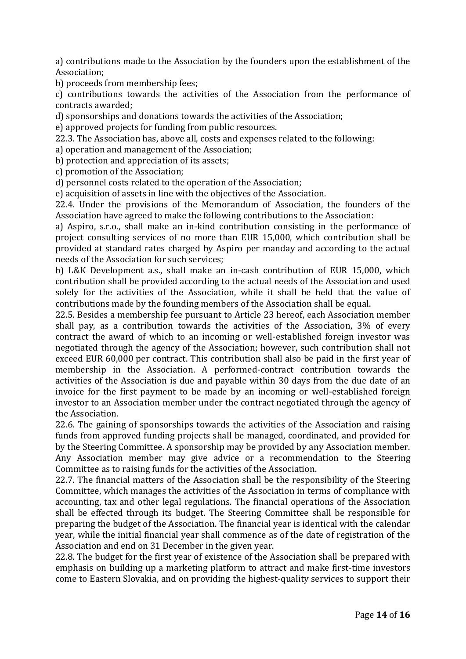a) contributions made to the Association by the founders upon the establishment of the Association;

b) proceeds from membership fees;

c) contributions towards the activities of the Association from the performance of contracts awarded;

d) sponsorships and donations towards the activities of the Association;

e) approved projects for funding from public resources.

22.3. The Association has, above all, costs and expenses related to the following:

a) operation and management of the Association;

b) protection and appreciation of its assets;

c) promotion of the Association;

d) personnel costs related to the operation of the Association;

e) acquisition of assets in line with the objectives of the Association.

22.4. Under the provisions of the Memorandum of Association, the founders of the Association have agreed to make the following contributions to the Association:

a) Aspiro, s.r.o., shall make an in-kind contribution consisting in the performance of project consulting services of no more than EUR 15,000, which contribution shall be provided at standard rates charged by Aspiro per manday and according to the actual needs of the Association for such services;

b) L&K Development a.s., shall make an in-cash contribution of EUR 15,000, which contribution shall be provided according to the actual needs of the Association and used solely for the activities of the Association, while it shall be held that the value of contributions made by the founding members of the Association shall be equal.

22.5. Besides a membership fee pursuant to Article 23 hereof, each Association member shall pay, as a contribution towards the activities of the Association, 3% of every contract the award of which to an incoming or well-established foreign investor was negotiated through the agency of the Association; however, such contribution shall not exceed EUR 60,000 per contract. This contribution shall also be paid in the first year of membership in the Association. A performed-contract contribution towards the activities of the Association is due and payable within 30 days from the due date of an invoice for the first payment to be made by an incoming or well-established foreign investor to an Association member under the contract negotiated through the agency of the Association.

22.6. The gaining of sponsorships towards the activities of the Association and raising funds from approved funding projects shall be managed, coordinated, and provided for by the Steering Committee. A sponsorship may be provided by any Association member. Any Association member may give advice or a recommendation to the Steering Committee as to raising funds for the activities of the Association.

22.7. The financial matters of the Association shall be the responsibility of the Steering Committee, which manages the activities of the Association in terms of compliance with accounting, tax and other legal regulations. The financial operations of the Association shall be effected through its budget. The Steering Committee shall be responsible for preparing the budget of the Association. The financial year is identical with the calendar year, while the initial financial year shall commence as of the date of registration of the Association and end on 31 December in the given year.

22.8. The budget for the first year of existence of the Association shall be prepared with emphasis on building up a marketing platform to attract and make first-time investors come to Eastern Slovakia, and on providing the highest-quality services to support their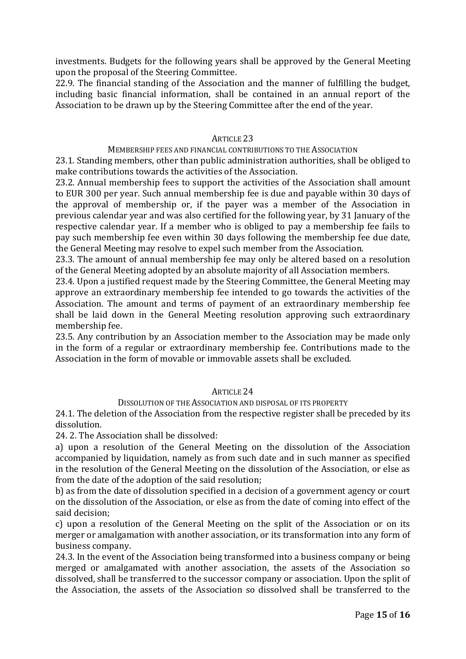investments. Budgets for the following years shall be approved by the General Meeting upon the proposal of the Steering Committee.

22.9. The financial standing of the Association and the manner of fulfilling the budget, including basic financial information, shall be contained in an annual report of the Association to be drawn up by the Steering Committee after the end of the year.

## ARTICLE 23

MEMBERSHIP FEES AND FINANCIAL CONTRIBUTIONS TO THE ASSOCIATION

23.1. Standing members, other than public administration authorities, shall be obliged to make contributions towards the activities of the Association.

23.2. Annual membership fees to support the activities of the Association shall amount to EUR 300 per year. Such annual membership fee is due and payable within 30 days of the approval of membership or, if the payer was a member of the Association in previous calendar year and was also certified for the following year, by 31 January of the respective calendar year. If a member who is obliged to pay a membership fee fails to pay such membership fee even within 30 days following the membership fee due date, the General Meeting may resolve to expel such member from the Association.

23.3. The amount of annual membership fee may only be altered based on a resolution of the General Meeting adopted by an absolute majority of all Association members.

23.4. Upon a justified request made by the Steering Committee, the General Meeting may approve an extraordinary membership fee intended to go towards the activities of the Association. The amount and terms of payment of an extraordinary membership fee shall be laid down in the General Meeting resolution approving such extraordinary membership fee.

23.5. Any contribution by an Association member to the Association may be made only in the form of a regular or extraordinary membership fee. Contributions made to the Association in the form of movable or immovable assets shall be excluded.

## ARTICLE 24

### DISSOLUTION OF THE ASSOCIATION AND DISPOSAL OF ITS PROPERTY

24.1. The deletion of the Association from the respective register shall be preceded by its dissolution.

24. 2. The Association shall be dissolved:

a) upon a resolution of the General Meeting on the dissolution of the Association accompanied by liquidation, namely as from such date and in such manner as specified in the resolution of the General Meeting on the dissolution of the Association, or else as from the date of the adoption of the said resolution;

b) as from the date of dissolution specified in a decision of a government agency or court on the dissolution of the Association, or else as from the date of coming into effect of the said decision;

c) upon a resolution of the General Meeting on the split of the Association or on its merger or amalgamation with another association, or its transformation into any form of business company.

24.3. In the event of the Association being transformed into a business company or being merged or amalgamated with another association, the assets of the Association so dissolved, shall be transferred to the successor company or association. Upon the split of the Association, the assets of the Association so dissolved shall be transferred to the